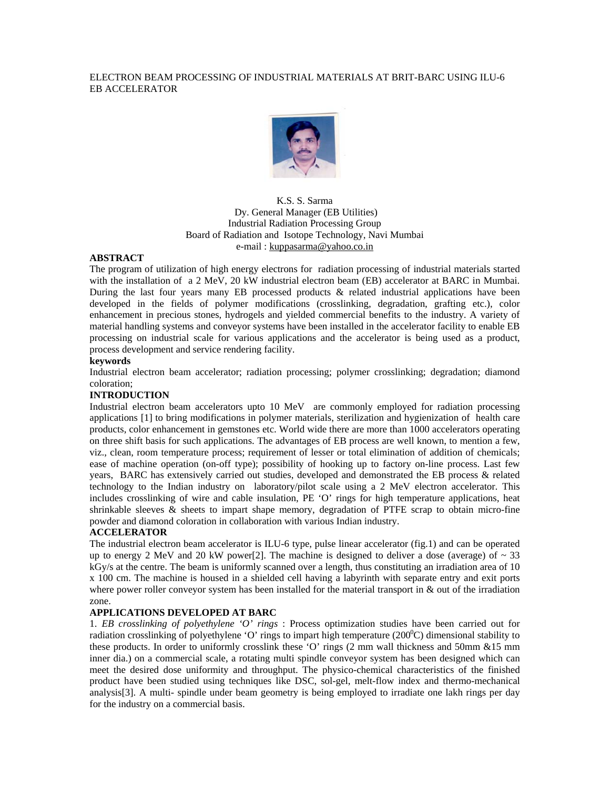# ELECTRON BEAM PROCESSING OF INDUSTRIAL MATERIALS AT BRIT-BARC USING ILU-6 EB ACCELERATOR



 K.S. S. Sarma Dy. General Manager (EB Utilities) Industrial Radiation Processing Group Board of Radiation and Isotope Technology, Navi Mumbai e-mail : kuppasarma@yahoo.co.in

### **ABSTRACT**

The program of utilization of high energy electrons for radiation processing of industrial materials started with the installation of a 2 MeV, 20 kW industrial electron beam (EB) accelerator at BARC in Mumbai. During the last four years many EB processed products  $\&$  related industrial applications have been developed in the fields of polymer modifications (crosslinking, degradation, grafting etc.), color enhancement in precious stones, hydrogels and yielded commercial benefits to the industry. A variety of material handling systems and conveyor systems have been installed in the accelerator facility to enable EB processing on industrial scale for various applications and the accelerator is being used as a product, process development and service rendering facility.

# **keywords**

Industrial electron beam accelerator; radiation processing; polymer crosslinking; degradation; diamond coloration;

# **INTRODUCTION**

Industrial electron beam accelerators upto 10 MeV are commonly employed for radiation processing applications [1] to bring modifications in polymer materials, sterilization and hygienization of health care products, color enhancement in gemstones etc. World wide there are more than 1000 accelerators operating on three shift basis for such applications. The advantages of EB process are well known, to mention a few, viz., clean, room temperature process; requirement of lesser or total elimination of addition of chemicals; ease of machine operation (on-off type); possibility of hooking up to factory on-line process. Last few years, BARC has extensively carried out studies, developed and demonstrated the EB process & related technology to the Indian industry on laboratory/pilot scale using a 2 MeV electron accelerator. This includes crosslinking of wire and cable insulation, PE 'O' rings for high temperature applications, heat shrinkable sleeves  $\&$  sheets to impart shape memory, degradation of PTFE scrap to obtain micro-fine powder and diamond coloration in collaboration with various Indian industry.

#### **ACCELERATOR**

The industrial electron beam accelerator is ILU-6 type, pulse linear accelerator (fig.1) and can be operated up to energy 2 MeV and 20 kW power[2]. The machine is designed to deliver a dose (average) of  $\sim$  33 kGy/s at the centre. The beam is uniformly scanned over a length, thus constituting an irradiation area of 10 x 100 cm. The machine is housed in a shielded cell having a labyrinth with separate entry and exit ports where power roller conveyor system has been installed for the material transport in & out of the irradiation zone.

# **APPLICATIONS DEVELOPED AT BARC**

1. *EB crosslinking of polyethylene 'O' rings* : Process optimization studies have been carried out for radiation crosslinking of polyethylene 'O' rings to impart high temperature  $(200^{\circ}C)$  dimensional stability to these products. In order to uniformly crosslink these 'O' rings (2 mm wall thickness and 50mm &15 mm inner dia.) on a commercial scale, a rotating multi spindle conveyor system has been designed which can meet the desired dose uniformity and throughput. The physico-chemical characteristics of the finished product have been studied using techniques like DSC, sol-gel, melt-flow index and thermo-mechanical analysis[3]. A multi- spindle under beam geometry is being employed to irradiate one lakh rings per day for the industry on a commercial basis.